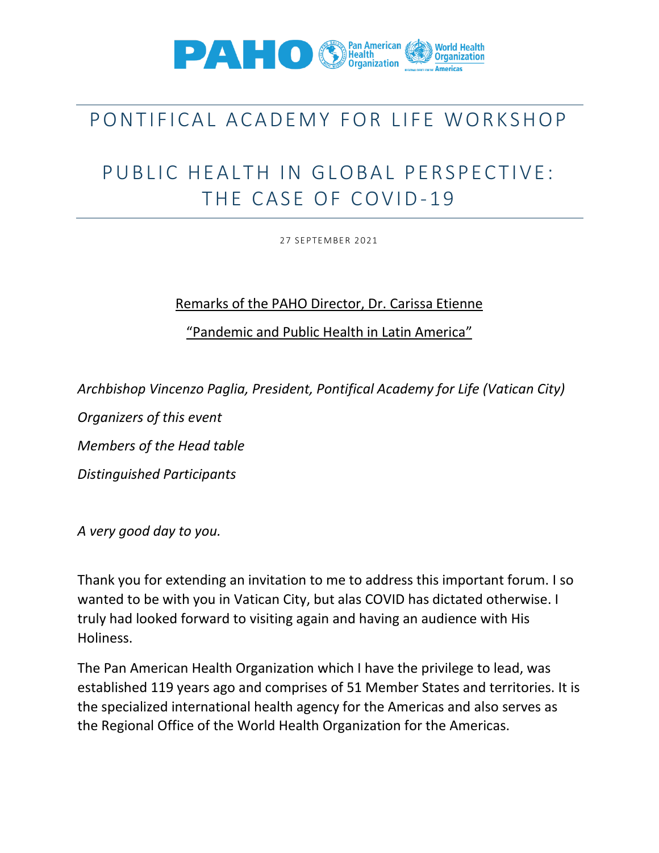

## PONTIFICAL ACADEMY FOR LIFE WORKSHOP

## PUBLIC HEALTH IN GLOBAL PERSPECTIVE: THE CASE OF COVID-19

27 SEPTEMBER 2021

## Remarks of the PAHO Director, Dr. Carissa Etienne

"Pandemic and Public Health in Latin America"

*Archbishop Vincenzo Paglia, President, Pontifical Academy for Life (Vatican City)*

*Organizers of this event*

*Members of the Head table*

*Distinguished Participants*

*A very good day to you.* 

Thank you for extending an invitation to me to address this important forum. I so wanted to be with you in Vatican City, but alas COVID has dictated otherwise. I truly had looked forward to visiting again and having an audience with His Holiness.

The Pan American Health Organization which I have the privilege to lead, was established 119 years ago and comprises of 51 Member States and territories. It is the specialized international health agency for the Americas and also serves as the Regional Office of the World Health Organization for the Americas.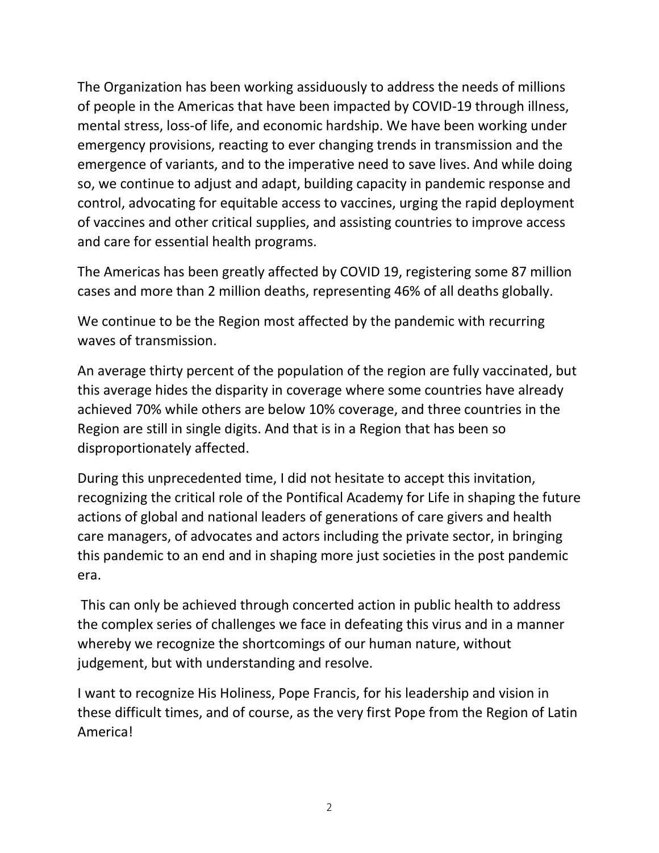The Organization has been working assiduously to address the needs of millions of people in the Americas that have been impacted by COVID-19 through illness, mental stress, loss-of life, and economic hardship. We have been working under emergency provisions, reacting to ever changing trends in transmission and the emergence of variants, and to the imperative need to save lives. And while doing so, we continue to adjust and adapt, building capacity in pandemic response and control, advocating for equitable access to vaccines, urging the rapid deployment of vaccines and other critical supplies, and assisting countries to improve access and care for essential health programs.

The Americas has been greatly affected by COVID 19, registering some 87 million cases and more than 2 million deaths, representing 46% of all deaths globally.

We continue to be the Region most affected by the pandemic with recurring waves of transmission.

An average thirty percent of the population of the region are fully vaccinated, but this average hides the disparity in coverage where some countries have already achieved 70% while others are below 10% coverage, and three countries in the Region are still in single digits. And that is in a Region that has been so disproportionately affected.

During this unprecedented time, I did not hesitate to accept this invitation, recognizing the critical role of the Pontifical Academy for Life in shaping the future actions of global and national leaders of generations of care givers and health care managers, of advocates and actors including the private sector, in bringing this pandemic to an end and in shaping more just societies in the post pandemic era.

This can only be achieved through concerted action in public health to address the complex series of challenges we face in defeating this virus and in a manner whereby we recognize the shortcomings of our human nature, without judgement, but with understanding and resolve.

I want to recognize His Holiness, Pope Francis, for his leadership and vision in these difficult times, and of course, as the very first Pope from the Region of Latin America!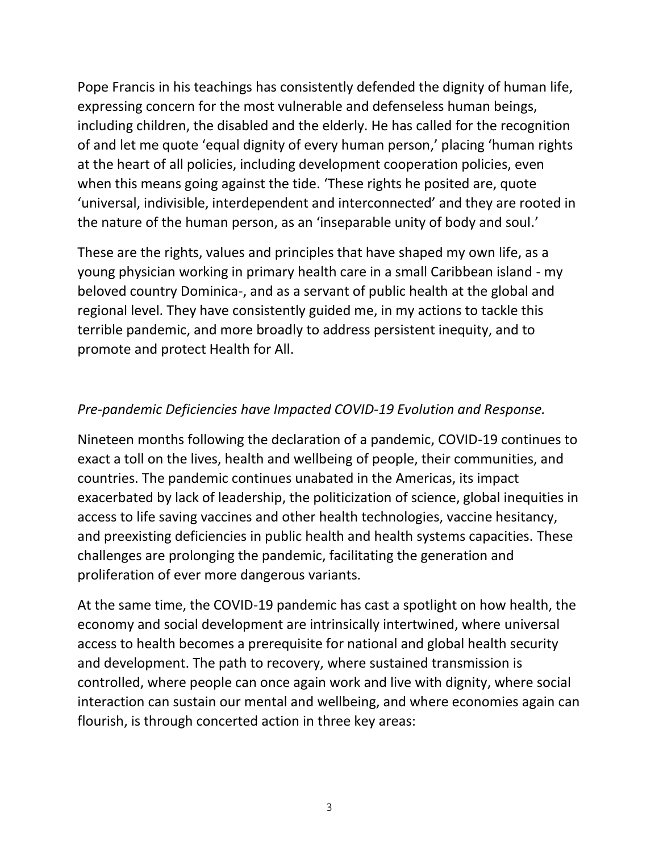Pope Francis in his teachings has consistently defended the dignity of human life, expressing concern for the most vulnerable and defenseless human beings, including children, the disabled and the elderly. He has called for the recognition of and let me quote 'equal dignity of every human person,' placing 'human rights at the heart of all policies, including development cooperation policies, even when this means going against the tide. 'These rights he posited are, quote 'universal, indivisible, interdependent and interconnected' and they are rooted in the nature of the human person, as an 'inseparable unity of body and soul.'

These are the rights, values and principles that have shaped my own life, as a young physician working in primary health care in a small Caribbean island - my beloved country Dominica-, and as a servant of public health at the global and regional level. They have consistently guided me, in my actions to tackle this terrible pandemic, and more broadly to address persistent inequity, and to promote and protect Health for All.

## *Pre-pandemic Deficiencies have Impacted COVID-19 Evolution and Response.*

Nineteen months following the declaration of a pandemic, COVID-19 continues to exact a toll on the lives, health and wellbeing of people, their communities, and countries. The pandemic continues unabated in the Americas, its impact exacerbated by lack of leadership, the politicization of science, global inequities in access to life saving vaccines and other health technologies, vaccine hesitancy, and preexisting deficiencies in public health and health systems capacities. These challenges are prolonging the pandemic, facilitating the generation and proliferation of ever more dangerous variants.

At the same time, the COVID-19 pandemic has cast a spotlight on how health, the economy and social development are intrinsically intertwined, where universal access to health becomes a prerequisite for national and global health security and development. The path to recovery, where sustained transmission is controlled, where people can once again work and live with dignity, where social interaction can sustain our mental and wellbeing, and where economies again can flourish, is through concerted action in three key areas: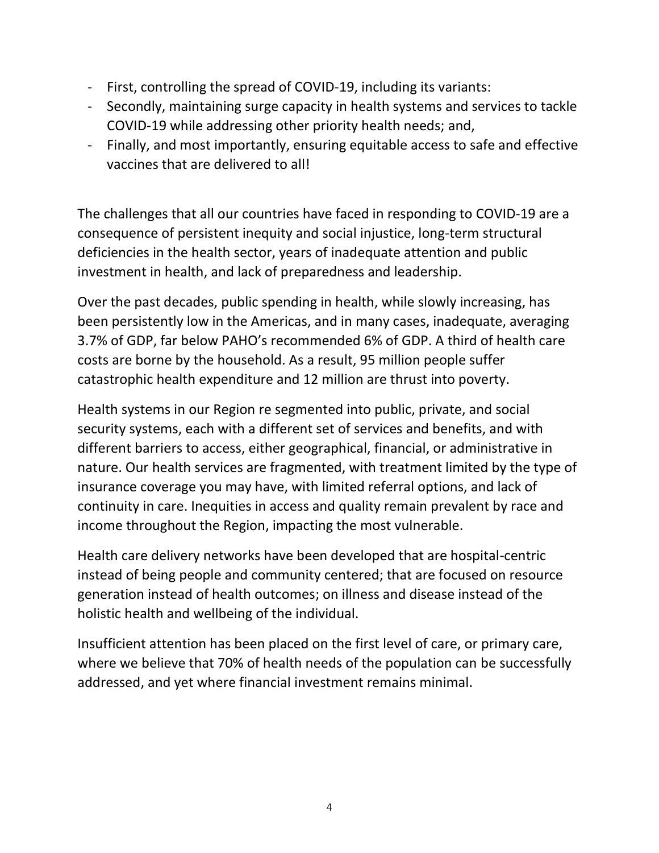- First, controlling the spread of COVID-19, including its variants:
- Secondly, maintaining surge capacity in health systems and services to tackle COVID-19 while addressing other priority health needs; and,
- Finally, and most importantly, ensuring equitable access to safe and effective vaccines that are delivered to all!

The challenges that all our countries have faced in responding to COVID-19 are a consequence of persistent inequity and social injustice, long-term structural deficiencies in the health sector, years of inadequate attention and public investment in health, and lack of preparedness and leadership.

Over the past decades, public spending in health, while slowly increasing, has been persistently low in the Americas, and in many cases, inadequate, averaging 3.7% of GDP, far below PAHO's recommended 6% of GDP. A third of health care costs are borne by the household. As a result, 95 million people suffer catastrophic health expenditure and 12 million are thrust into poverty.

Health systems in our Region re segmented into public, private, and social security systems, each with a different set of services and benefits, and with different barriers to access, either geographical, financial, or administrative in nature. Our health services are fragmented, with treatment limited by the type of insurance coverage you may have, with limited referral options, and lack of continuity in care. Inequities in access and quality remain prevalent by race and income throughout the Region, impacting the most vulnerable.

Health care delivery networks have been developed that are hospital-centric instead of being people and community centered; that are focused on resource generation instead of health outcomes; on illness and disease instead of the holistic health and wellbeing of the individual.

Insufficient attention has been placed on the first level of care, or primary care, where we believe that 70% of health needs of the population can be successfully addressed, and yet where financial investment remains minimal.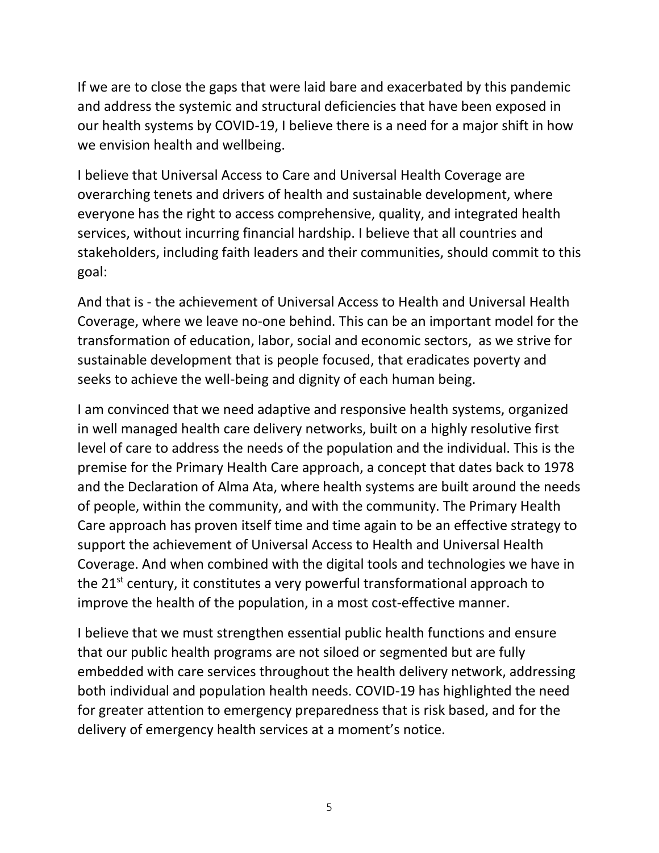If we are to close the gaps that were laid bare and exacerbated by this pandemic and address the systemic and structural deficiencies that have been exposed in our health systems by COVID-19, I believe there is a need for a major shift in how we envision health and wellbeing.

I believe that Universal Access to Care and Universal Health Coverage are overarching tenets and drivers of health and sustainable development, where everyone has the right to access comprehensive, quality, and integrated health services, without incurring financial hardship. I believe that all countries and stakeholders, including faith leaders and their communities, should commit to this goal:

And that is - the achievement of Universal Access to Health and Universal Health Coverage, where we leave no-one behind. This can be an important model for the transformation of education, labor, social and economic sectors, as we strive for sustainable development that is people focused, that eradicates poverty and seeks to achieve the well-being and dignity of each human being.

I am convinced that we need adaptive and responsive health systems, organized in well managed health care delivery networks, built on a highly resolutive first level of care to address the needs of the population and the individual. This is the premise for the Primary Health Care approach, a concept that dates back to 1978 and the Declaration of Alma Ata, where health systems are built around the needs of people, within the community, and with the community. The Primary Health Care approach has proven itself time and time again to be an effective strategy to support the achievement of Universal Access to Health and Universal Health Coverage. And when combined with the digital tools and technologies we have in the  $21^{st}$  century, it constitutes a very powerful transformational approach to improve the health of the population, in a most cost-effective manner.

I believe that we must strengthen essential public health functions and ensure that our public health programs are not siloed or segmented but are fully embedded with care services throughout the health delivery network, addressing both individual and population health needs. COVID-19 has highlighted the need for greater attention to emergency preparedness that is risk based, and for the delivery of emergency health services at a moment's notice.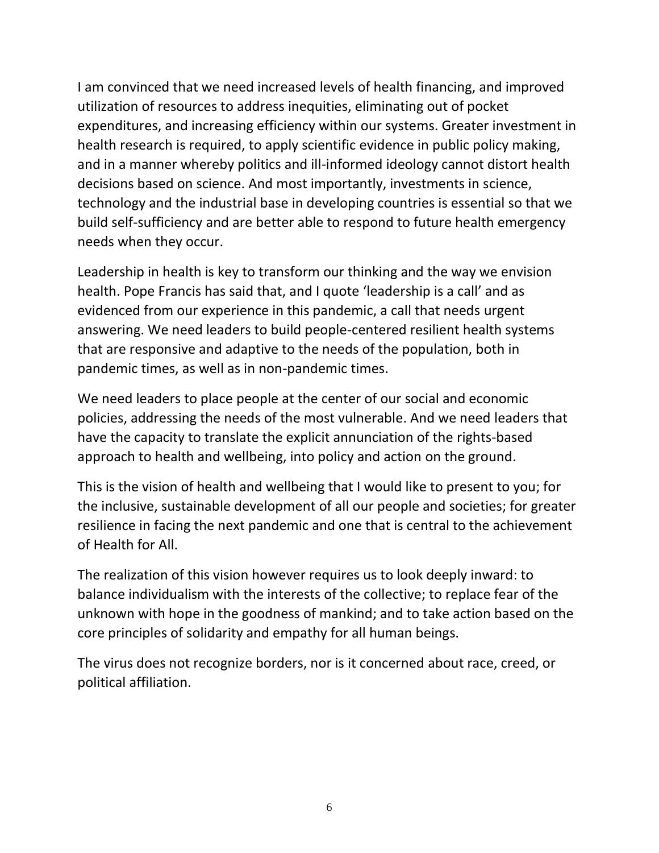I am convinced that we need increased levels of health financing, and improved utilization of resources to address inequities, eliminating out of pocket expenditures, and increasing efficiency within our systems. Greater investment in health research is required, to apply scientific evidence in public policy making, and in a manner whereby politics and ill-informed ideology cannot distort health decisions based on science. And most importantly, investments in science, technology and the industrial base in developing countries is essential so that we build self-sufficiency and are better able to respond to future health emergency needs when they occur.

Leadership in health is key to transform our thinking and the way we envision health. Pope Francis has said that, and I quote 'leadership is a call' and as evidenced from our experience in this pandemic, a call that needs urgent answering. We need leaders to build people-centered resilient health systems that are responsive and adaptive to the needs of the population, both in pandemic times, as well as in non-pandemic times.

We need leaders to place people at the center of our social and economic policies, addressing the needs of the most vulnerable. And we need leaders that have the capacity to translate the explicit annunciation of the rights-based approach to health and wellbeing, into policy and action on the ground.

This is the vision of health and wellbeing that I would like to present to you; for the inclusive, sustainable development of all our people and societies; for greater resilience in facing the next pandemic and one that is central to the achievement of Health for All.

The realization of this vision however requires us to look deeply inward: to balance individualism with the interests of the collective; to replace fear of the unknown with hope in the goodness of mankind; and to take action based on the core principles of solidarity and empathy for all human beings.

The virus does not recognize borders, nor is it concerned about race, creed, or political affiliation.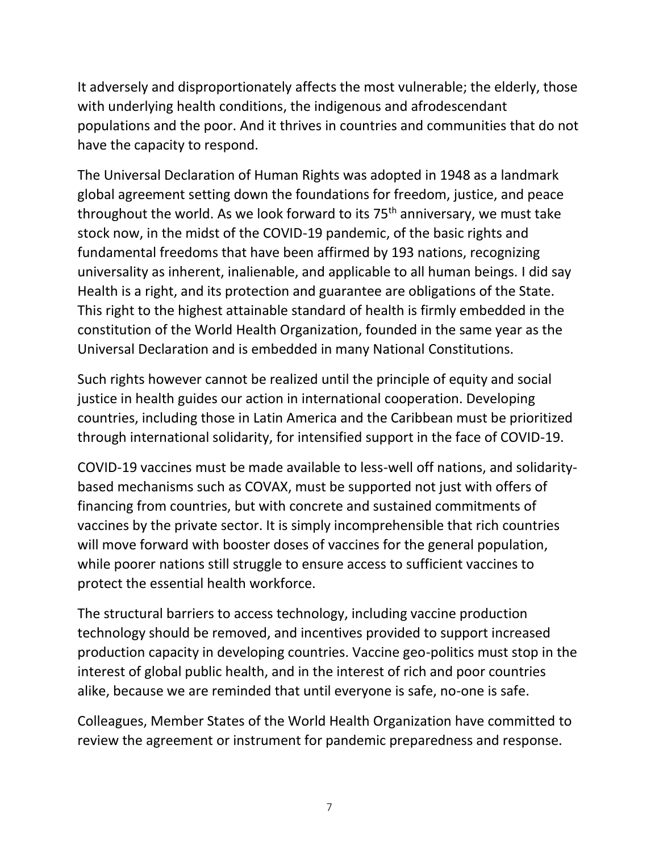It adversely and disproportionately affects the most vulnerable; the elderly, those with underlying health conditions, the indigenous and afrodescendant populations and the poor. And it thrives in countries and communities that do not have the capacity to respond.

The Universal Declaration of Human Rights was adopted in 1948 as a landmark global agreement setting down the foundations for freedom, justice, and peace throughout the world. As we look forward to its  $75<sup>th</sup>$  anniversary, we must take stock now, in the midst of the COVID-19 pandemic, of the basic rights and fundamental freedoms that have been affirmed by 193 nations, recognizing universality as inherent, inalienable, and applicable to all human beings. I did say Health is a right, and its protection and guarantee are obligations of the State. This right to the highest attainable standard of health is firmly embedded in the constitution of the World Health Organization, founded in the same year as the Universal Declaration and is embedded in many National Constitutions.

Such rights however cannot be realized until the principle of equity and social justice in health guides our action in international cooperation. Developing countries, including those in Latin America and the Caribbean must be prioritized through international solidarity, for intensified support in the face of COVID-19.

COVID-19 vaccines must be made available to less-well off nations, and solidaritybased mechanisms such as COVAX, must be supported not just with offers of financing from countries, but with concrete and sustained commitments of vaccines by the private sector. It is simply incomprehensible that rich countries will move forward with booster doses of vaccines for the general population, while poorer nations still struggle to ensure access to sufficient vaccines to protect the essential health workforce.

The structural barriers to access technology, including vaccine production technology should be removed, and incentives provided to support increased production capacity in developing countries. Vaccine geo-politics must stop in the interest of global public health, and in the interest of rich and poor countries alike, because we are reminded that until everyone is safe, no-one is safe.

Colleagues, Member States of the World Health Organization have committed to review the agreement or instrument for pandemic preparedness and response.